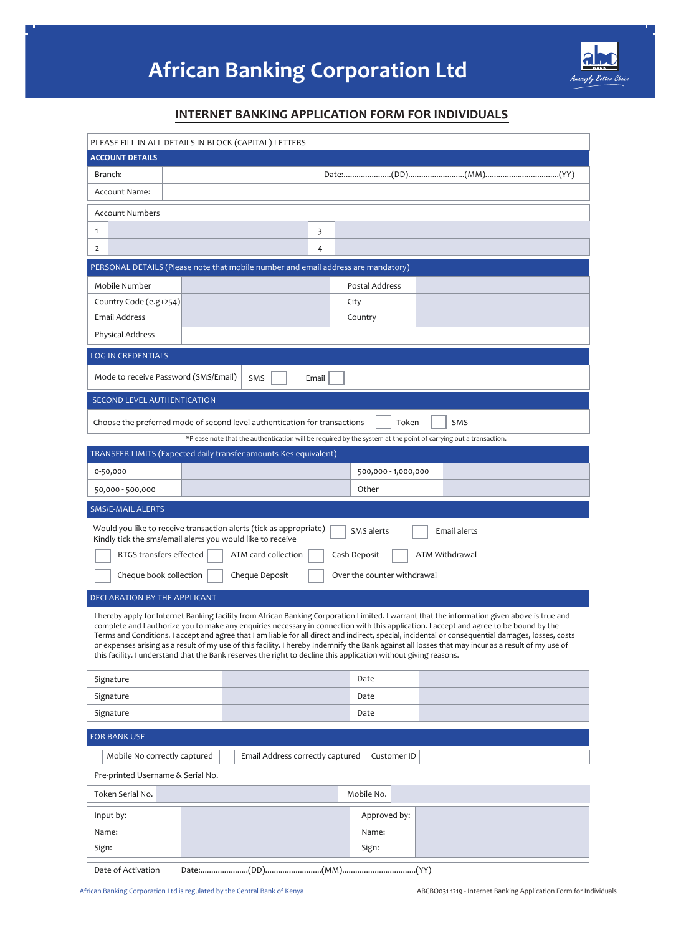

# **INTERNET BANKING APPLICATION FORM FOR INDIVIDUALS**

| PLEASE FILL IN ALL DETAILS IN BLOCK (CAPITAL) LETTERS                                                                                                                                                                                                                                                                                                                                                                                                                                                                                                                                                                                                                                                                    |                                                                                                                 |  |  |
|--------------------------------------------------------------------------------------------------------------------------------------------------------------------------------------------------------------------------------------------------------------------------------------------------------------------------------------------------------------------------------------------------------------------------------------------------------------------------------------------------------------------------------------------------------------------------------------------------------------------------------------------------------------------------------------------------------------------------|-----------------------------------------------------------------------------------------------------------------|--|--|
| <b>ACCOUNT DETAILS</b>                                                                                                                                                                                                                                                                                                                                                                                                                                                                                                                                                                                                                                                                                                   |                                                                                                                 |  |  |
| Branch:                                                                                                                                                                                                                                                                                                                                                                                                                                                                                                                                                                                                                                                                                                                  |                                                                                                                 |  |  |
| Account Name:                                                                                                                                                                                                                                                                                                                                                                                                                                                                                                                                                                                                                                                                                                            |                                                                                                                 |  |  |
| <b>Account Numbers</b>                                                                                                                                                                                                                                                                                                                                                                                                                                                                                                                                                                                                                                                                                                   |                                                                                                                 |  |  |
| $\mathbf{1}$                                                                                                                                                                                                                                                                                                                                                                                                                                                                                                                                                                                                                                                                                                             | 3                                                                                                               |  |  |
| $\overline{2}$                                                                                                                                                                                                                                                                                                                                                                                                                                                                                                                                                                                                                                                                                                           | 4                                                                                                               |  |  |
| PERSONAL DETAILS (Please note that mobile number and email address are mandatory)                                                                                                                                                                                                                                                                                                                                                                                                                                                                                                                                                                                                                                        |                                                                                                                 |  |  |
| Mobile Number                                                                                                                                                                                                                                                                                                                                                                                                                                                                                                                                                                                                                                                                                                            | Postal Address                                                                                                  |  |  |
| Country Code (e.g+254)                                                                                                                                                                                                                                                                                                                                                                                                                                                                                                                                                                                                                                                                                                   | City                                                                                                            |  |  |
| Email Address                                                                                                                                                                                                                                                                                                                                                                                                                                                                                                                                                                                                                                                                                                            | Country                                                                                                         |  |  |
| Physical Address                                                                                                                                                                                                                                                                                                                                                                                                                                                                                                                                                                                                                                                                                                         |                                                                                                                 |  |  |
| <b>LOG IN CREDENTIALS</b>                                                                                                                                                                                                                                                                                                                                                                                                                                                                                                                                                                                                                                                                                                |                                                                                                                 |  |  |
| Mode to receive Password (SMS/Email)<br>SMS                                                                                                                                                                                                                                                                                                                                                                                                                                                                                                                                                                                                                                                                              | Email                                                                                                           |  |  |
| SECOND LEVEL AUTHENTICATION                                                                                                                                                                                                                                                                                                                                                                                                                                                                                                                                                                                                                                                                                              |                                                                                                                 |  |  |
| Choose the preferred mode of second level authentication for transactions                                                                                                                                                                                                                                                                                                                                                                                                                                                                                                                                                                                                                                                | Token<br>SMS                                                                                                    |  |  |
|                                                                                                                                                                                                                                                                                                                                                                                                                                                                                                                                                                                                                                                                                                                          | *Please note that the authentication will be required by the system at the point of carrying out a transaction. |  |  |
| TRANSFER LIMITS (Expected daily transfer amounts-Kes equivalent)                                                                                                                                                                                                                                                                                                                                                                                                                                                                                                                                                                                                                                                         |                                                                                                                 |  |  |
| 0-50,000                                                                                                                                                                                                                                                                                                                                                                                                                                                                                                                                                                                                                                                                                                                 | 500,000 - 1,000,000                                                                                             |  |  |
| 50,000 - 500,000                                                                                                                                                                                                                                                                                                                                                                                                                                                                                                                                                                                                                                                                                                         | Other                                                                                                           |  |  |
| SMS/E-MAIL ALERTS                                                                                                                                                                                                                                                                                                                                                                                                                                                                                                                                                                                                                                                                                                        |                                                                                                                 |  |  |
| Would you like to receive transaction alerts (tick as appropriate)<br>Kindly tick the sms/email alerts you would like to receive                                                                                                                                                                                                                                                                                                                                                                                                                                                                                                                                                                                         | SMS alerts<br><b>Email alerts</b>                                                                               |  |  |
| RTGS transfers effected<br>ATM card collection                                                                                                                                                                                                                                                                                                                                                                                                                                                                                                                                                                                                                                                                           | Cash Deposit<br>ATM Withdrawal                                                                                  |  |  |
| Cheque book collection<br>Cheque Deposit<br>Over the counter withdrawal                                                                                                                                                                                                                                                                                                                                                                                                                                                                                                                                                                                                                                                  |                                                                                                                 |  |  |
| DECLARATION BY THE APPLICANT                                                                                                                                                                                                                                                                                                                                                                                                                                                                                                                                                                                                                                                                                             |                                                                                                                 |  |  |
| I hereby apply for Internet Banking facility from African Banking Corporation Limited. I warrant that the information given above is true and<br>complete and I authorize you to make any enquiries necessary in connection with this application. I accept and agree to be bound by the<br>Terms and Conditions. I accept and agree that I am liable for all direct and indirect, special, incidental or consequential damages, losses, costs<br>or expenses arising as a result of my use of this facility. I hereby Indemnify the Bank against all losses that may incur as a result of my use of<br>this facility. I understand that the Bank reserves the right to decline this application without giving reasons. |                                                                                                                 |  |  |
| Signature                                                                                                                                                                                                                                                                                                                                                                                                                                                                                                                                                                                                                                                                                                                | Date                                                                                                            |  |  |
| Signature                                                                                                                                                                                                                                                                                                                                                                                                                                                                                                                                                                                                                                                                                                                | Date                                                                                                            |  |  |
| Signature                                                                                                                                                                                                                                                                                                                                                                                                                                                                                                                                                                                                                                                                                                                | Date                                                                                                            |  |  |
| <b>FOR BANK USE</b>                                                                                                                                                                                                                                                                                                                                                                                                                                                                                                                                                                                                                                                                                                      |                                                                                                                 |  |  |
| Mobile No correctly captured                                                                                                                                                                                                                                                                                                                                                                                                                                                                                                                                                                                                                                                                                             | Email Address correctly captured<br>Customer ID                                                                 |  |  |
| Pre-printed Username & Serial No.                                                                                                                                                                                                                                                                                                                                                                                                                                                                                                                                                                                                                                                                                        |                                                                                                                 |  |  |
| Token Serial No.                                                                                                                                                                                                                                                                                                                                                                                                                                                                                                                                                                                                                                                                                                         | Mobile No.                                                                                                      |  |  |
| Input by:                                                                                                                                                                                                                                                                                                                                                                                                                                                                                                                                                                                                                                                                                                                | Approved by:                                                                                                    |  |  |
| Name:                                                                                                                                                                                                                                                                                                                                                                                                                                                                                                                                                                                                                                                                                                                    | Name:                                                                                                           |  |  |
| Sign:                                                                                                                                                                                                                                                                                                                                                                                                                                                                                                                                                                                                                                                                                                                    | Sign:                                                                                                           |  |  |
| Date of Activation                                                                                                                                                                                                                                                                                                                                                                                                                                                                                                                                                                                                                                                                                                       |                                                                                                                 |  |  |

ABCBO031 1219 - Internet Banking Application Form for Individuals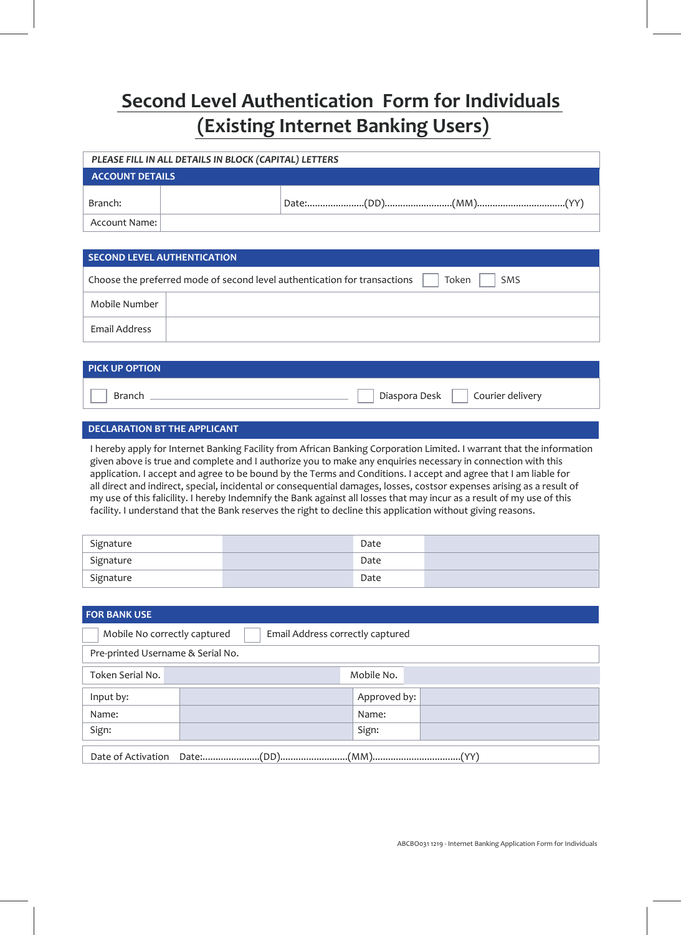# **Second Level Authentication Form for Individuals (Existing Internet Banking Users)**

| PLEASE FILL IN ALL DETAILS IN BLOCK (CAPITAL) LETTERS |  |  |  |  |
|-------------------------------------------------------|--|--|--|--|
| <b>ACCOUNT DETAILS</b>                                |  |  |  |  |
| Branch:                                               |  |  |  |  |
| Account Name:                                         |  |  |  |  |

# **SECOND LEVEL AUTHENTICATION**

|               | Choose the preferred mode of second level authentication for transactions<br><b>SMS</b><br>Token |
|---------------|--------------------------------------------------------------------------------------------------|
| Mobile Number |                                                                                                  |
| Email Address |                                                                                                  |

| <b>PICK UP OPTION</b> |                                    |
|-----------------------|------------------------------------|
| Branch                | Diaspora Desk     Courier delivery |

# **DECLARATION BT THE APPLICANT**

I hereby apply for Internet Banking Facility from African Banking Corporation Limited. I warrant that the information given above is true and complete and I authorize you to make any enquiries necessary in connection with this application. I accept and agree to be bound by the Terms and Conditions. I accept and agree that I am liable for all direct and indirect, special, incidental or consequential damages, losses, costsor expenses arising as a result of my use of this falicility. I hereby Indemnify the Bank against all losses that may incur as a result of my use of this facility. I understand that the Bank reserves the right to decline this application without giving reasons.

| Signature | Date |  |
|-----------|------|--|
| Signature | Date |  |
| Signature | Date |  |

| <b>FOR BANK USE</b>                                              |  |              |  |
|------------------------------------------------------------------|--|--------------|--|
| Mobile No correctly captured<br>Email Address correctly captured |  |              |  |
| Pre-printed Username & Serial No.                                |  |              |  |
| Token Serial No.                                                 |  | Mobile No.   |  |
| Input by:                                                        |  | Approved by: |  |
| Name:                                                            |  | Name:        |  |
| Sign:                                                            |  | Sign:        |  |
| (1, 2)<br>(0, 0)<br>$\sqrt{2}$<br>.                              |  |              |  |

Date:......................(DD)..........................(MM)..................................(YY) Date of Activation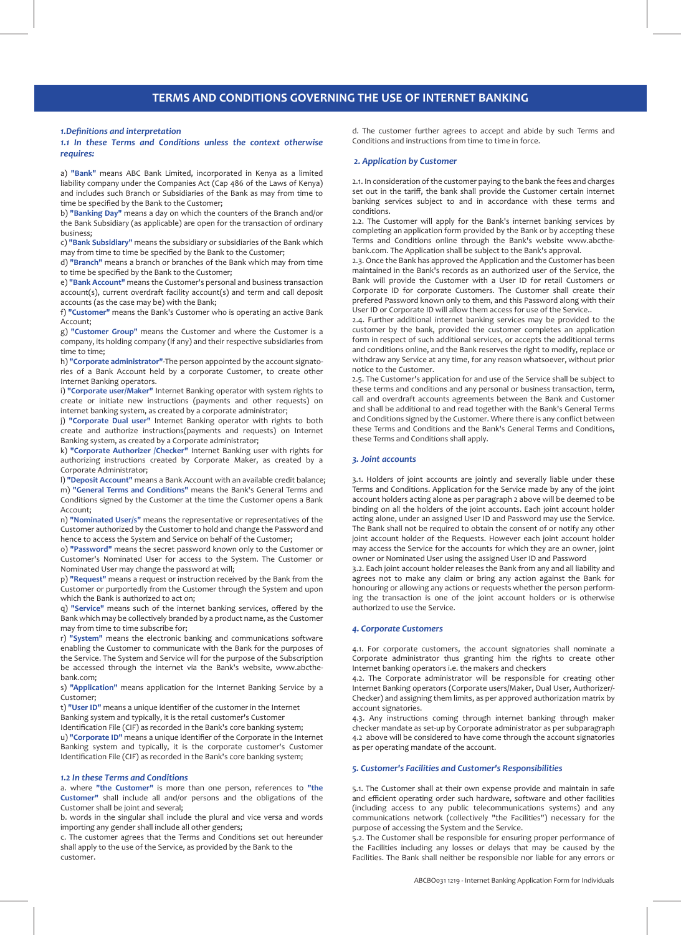# **TERMS AND CONDITIONS GOVERNING THE USE OF INTERNET BANKING**

#### *1.Definitions and interpretation*

## *1.1 In these Terms and Conditions unless the context otherwise requires:*

a) **"Bank"** means ABC Bank Limited, incorporated in Kenya as a limited liability company under the Companies Act (Cap 486 of the Laws of Kenya) and includes such Branch or Subsidiaries of the Bank as may from time to time be specified by the Bank to the Customer;

b) **"Banking Day"** means a day on which the counters of the Branch and/or the Bank Subsidiary (as applicable) are open for the transaction of ordinary business;

c) **"Bank Subsidiary"** means the subsidiary or subsidiaries of the Bank which may from time to time be specified by the Bank to the Customer;

d) **"Branch"** means a branch or branches of the Bank which may from time to time be specified by the Bank to the Customer;

e) **"Bank Account"** means the Customer's personal and business transaction account(s), current overdraft facility account(s) and term and call deposit accounts (as the case may be) with the Bank;

f) **"Customer"** means the Bank's Customer who is operating an active Bank Account;

g) **"Customer Group"** means the Customer and where the Customer is a company, its holding company (if any) and their respective subsidiaries from time to time;

h) **"Corporate administrator"**-The person appointed by the account signatories of a Bank Account held by a corporate Customer, to create other Internet Banking operators.

i) **"Corporate user/Maker"** Internet Banking operator with system rights to create or initiate new instructions (payments and other requests) on internet banking system, as created by a corporate administrator;

j) **"Corporate Dual user"** Internet Banking operator with rights to both create and authorize instructions(payments and requests) on Internet Banking system, as created by a Corporate administrator;

k) **"Corporate Authorizer /Checker"** Internet Banking user with rights for authorizing instructions created by Corporate Maker, as created by a Corporate Administrator;

l) **"Deposit Account"** means a Bank Account with an available credit balance; m) **"General Terms and Conditions"** means the Bank's General Terms and Conditions signed by the Customer at the time the Customer opens a Bank Account;

n) **"Nominated User/s"** means the representative or representatives of the Customer authorized by the Customer to hold and change the Password and hence to access the System and Service on behalf of the Customer;

o) **"Password"** means the secret password known only to the Customer or Customer's Nominated User for access to the System. The Customer or Nominated User may change the password at will;

p) **"Request"** means a request or instruction received by the Bank from the Customer or purportedly from the Customer through the System and upon which the Bank is authorized to act on;

q) **"Service"** means such of the internet banking services, offered by the Bank which may be collectively branded by a product name, as the Customer may from time to time subscribe for;

r) **"System"** means the electronic banking and communications software enabling the Customer to communicate with the Bank for the purposes of the Service. The System and Service will for the purpose of the Subscription be accessed through the internet via the Bank's website, www.abcthebank.com;

s) **"Application"** means application for the Internet Banking Service by a Customer;

t) **"User ID"** means a unique identifier of the customer in the Internet Banking system and typically, it is the retail customer's Customer

Identification File (CIF) as recorded in the Bank's core banking system; u) **"Corporate ID"** means a unique identifier of the Corporate in the Internet Banking system and typically, it is the corporate customer's Customer Identification File (CIF) as recorded in the Bank's core banking system;

#### *1.2 In these Terms and Conditions*

a. where **"the Customer"** is more than one person, references to **"the Customer"** shall include all and/or persons and the obligations of the Customer shall be joint and several;

b. words in the singular shall include the plural and vice versa and words importing any gender shall include all other genders;

c. The customer agrees that the Terms and Conditions set out hereunder shall apply to the use of the Service, as provided by the Bank to the customer.

d. The customer further agrees to accept and abide by such Terms and Conditions and instructions from time to time in force.

## *2. Application by Customer*

2.1. In consideration of the customer paying to the bank the fees and charges set out in the tariff, the bank shall provide the Customer certain internet banking services subject to and in accordance with these terms and conditions.

2.2. The Customer will apply for the Bank's internet banking services by completing an application form provided by the Bank or by accepting these Terms and Conditions online through the Bank's website www.abcthebank.com. The Application shall be subject to the Bank's approval.

2.3. Once the Bank has approved the Application and the Customer has been maintained in the Bank's records as an authorized user of the Service, the Bank will provide the Customer with a User ID for retail Customers or Corporate ID for corporate Customers. The Customer shall create their prefered Password known only to them, and this Password along with their User ID or Corporate ID will allow them access for use of the Service..

2.4. Further additional internet banking services may be provided to the customer by the bank, provided the customer completes an application form in respect of such additional services, or accepts the additional terms and conditions online, and the Bank reserves the right to modify, replace or withdraw any Service at any time, for any reason whatsoever, without prior notice to the Customer.

2.5. The Customer's application for and use of the Service shall be subject to these terms and conditions and any personal or business transaction, term, call and overdraft accounts agreements between the Bank and Customer and shall be additional to and read together with the Bank's General Terms and Conditions signed by the Customer. Where there is any conflict between these Terms and Conditions and the Bank's General Terms and Conditions, these Terms and Conditions shall apply.

# *3. Joint accounts*

3.1. Holders of joint accounts are jointly and severally liable under these Terms and Conditions. Application for the Service made by any of the joint account holders acting alone as per paragraph 2 above will be deemed to be binding on all the holders of the joint accounts. Each joint account holder acting alone, under an assigned User ID and Password may use the Service. The Bank shall not be required to obtain the consent of or notify any other joint account holder of the Requests. However each joint account holder may access the Service for the accounts for which they are an owner, joint owner or Nominated User using the assigned User ID and Password

3.2. Each joint account holder releases the Bank from any and all liability and agrees not to make any claim or bring any action against the Bank for honouring or allowing any actions or requests whether the person performing the transaction is one of the joint account holders or is otherwise authorized to use the Service.

#### *4. Corporate Customers*

4.1. For corporate customers, the account signatories shall nominate a Corporate administrator thus granting him the rights to create other Internet banking operators i.e. the makers and checkers

4.2. The Corporate administrator will be responsible for creating other Internet Banking operators (Corporate users/Maker, Dual User, Authorizer/- Checker) and assigning them limits, as per approved authorization matrix by account signatories.

4.3. Any instructions coming through internet banking through maker checker mandate as set-up by Corporate administrator as per subparagraph 4.2 above will be considered to have come through the account signatories as per operating mandate of the account.

# *5. Customer's Facilities and Customer's Responsibilities*

5.1. The Customer shall at their own expense provide and maintain in safe and efficient operating order such hardware, software and other facilities (including access to any public telecommunications systems) and any communications network (collectively "the Facilities") necessary for the purpose of accessing the System and the Service.

5.2. The Customer shall be responsible for ensuring proper performance of the Facilities including any losses or delays that may be caused by the Facilities. The Bank shall neither be responsible nor liable for any errors or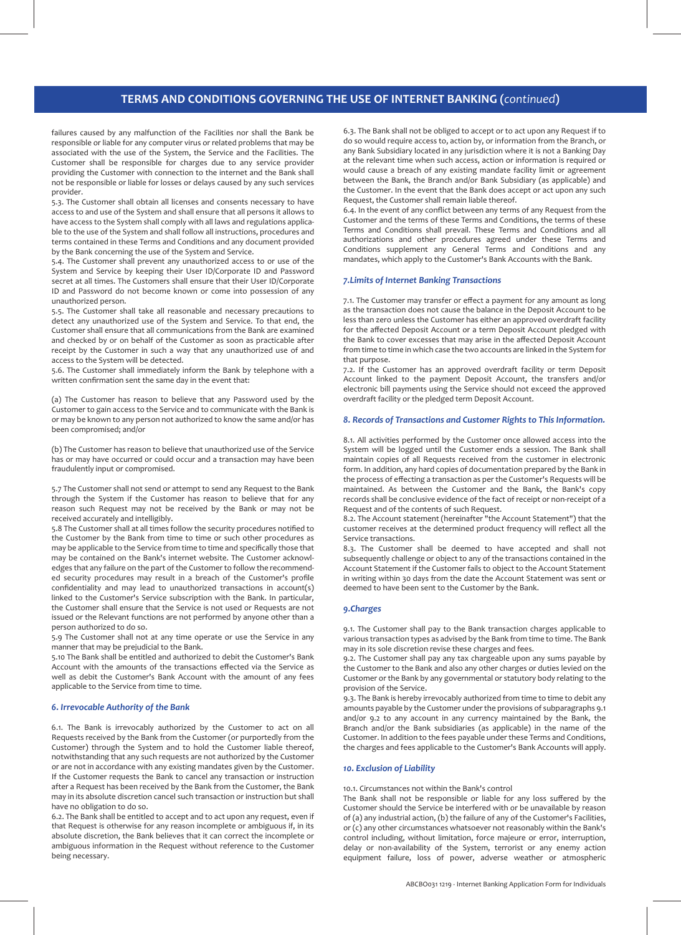# **TERMS AND CONDITIONS GOVERNING THE USE OF INTERNET BANKING (***continued***)**

failures caused by any malfunction of the Facilities nor shall the Bank be responsible or liable for any computer virus or related problems that may be associated with the use of the System, the Service and the Facilities. The Customer shall be responsible for charges due to any service provider providing the Customer with connection to the internet and the Bank shall not be responsible or liable for losses or delays caused by any such services provider.

5.3. The Customer shall obtain all licenses and consents necessary to have access to and use of the System and shall ensure that all persons it allows to have access to the System shall comply with all laws and regulations applicable to the use of the System and shall follow all instructions, procedures and terms contained in these Terms and Conditions and any document provided by the Bank concerning the use of the System and Service.

5.4. The Customer shall prevent any unauthorized access to or use of the System and Service by keeping their User ID/Corporate ID and Password secret at all times. The Customers shall ensure that their User ID/Corporate ID and Password do not become known or come into possession of any unauthorized person.

5.5. The Customer shall take all reasonable and necessary precautions to detect any unauthorized use of the System and Service. To that end, the Customer shall ensure that all communications from the Bank are examined and checked by or on behalf of the Customer as soon as practicable after receipt by the Customer in such a way that any unauthorized use of and access to the System will be detected.

5.6. The Customer shall immediately inform the Bank by telephone with a written confirmation sent the same day in the event that:

(a) The Customer has reason to believe that any Password used by the Customer to gain access to the Service and to communicate with the Bank is or may be known to any person not authorized to know the same and/or has been compromised; and/or

(b) The Customer has reason to believe that unauthorized use of the Service has or may have occurred or could occur and a transaction may have been fraudulently input or compromised.

5.7 The Customer shall not send or attempt to send any Request to the Bank through the System if the Customer has reason to believe that for any reason such Request may not be received by the Bank or may not be received accurately and intelligibly.

5.8 The Customer shall at all times follow the security procedures notified to the Customer by the Bank from time to time or such other procedures as may be applicable to the Service from time to time and specifically those that may be contained on the Bank's internet website. The Customer acknowledges that any failure on the part of the Customer to follow the recommended security procedures may result in a breach of the Customer's profile confidentiality and may lead to unauthorized transactions in account(s) linked to the Customer's Service subscription with the Bank. In particular, the Customer shall ensure that the Service is not used or Requests are not issued or the Relevant functions are not performed by anyone other than a person authorized to do so.

5.9 The Customer shall not at any time operate or use the Service in any manner that may be prejudicial to the Bank.

5.10 The Bank shall be entitled and authorized to debit the Customer's Bank Account with the amounts of the transactions effected via the Service as well as debit the Customer's Bank Account with the amount of any fees applicable to the Service from time to time.

## *6. Irrevocable Authority of the Bank*

6.1. The Bank is irrevocably authorized by the Customer to act on all Requests received by the Bank from the Customer (or purportedly from the Customer) through the System and to hold the Customer liable thereof, notwithstanding that any such requests are not authorized by the Customer or are not in accordance with any existing mandates given by the Customer. If the Customer requests the Bank to cancel any transaction or instruction after a Request has been received by the Bank from the Customer, the Bank may in its absolute discretion cancel such transaction or instruction but shall have no obligation to do so.

6.2. The Bank shall be entitled to accept and to act upon any request, even if that Request is otherwise for any reason incomplete or ambiguous if, in its absolute discretion, the Bank believes that it can correct the incomplete or ambiguous information in the Request without reference to the Customer being necessary.

6.3. The Bank shall not be obliged to accept or to act upon any Request if to do so would require access to, action by, or information from the Branch, or any Bank Subsidiary located in any jurisdiction where it is not a Banking Day at the relevant time when such access, action or information is required or would cause a breach of any existing mandate facility limit or agreement between the Bank, the Branch and/or Bank Subsidiary (as applicable) and the Customer. In the event that the Bank does accept or act upon any such Request, the Customer shall remain liable thereof.

6.4. In the event of any conflict between any terms of any Request from the Customer and the terms of these Terms and Conditions, the terms of these Terms and Conditions shall prevail. These Terms and Conditions and all authorizations and other procedures agreed under these Terms and Conditions supplement any General Terms and Conditions and any mandates, which apply to the Customer's Bank Accounts with the Bank.

#### *7.Limits of Internet Banking Transactions*

7.1. The Customer may transfer or effect a payment for any amount as long as the transaction does not cause the balance in the Deposit Account to be less than zero unless the Customer has either an approved overdraft facility for the affected Deposit Account or a term Deposit Account pledged with the Bank to cover excesses that may arise in the affected Deposit Account from time to time in which case the two accounts are linked in the System for that purpose.

7.2. If the Customer has an approved overdraft facility or term Deposit Account linked to the payment Deposit Account, the transfers and/or electronic bill payments using the Service should not exceed the approved overdraft facility or the pledged term Deposit Account.

# *8. Records of Transactions and Customer Rights to This Information.*

8.1. All activities performed by the Customer once allowed access into the System will be logged until the Customer ends a session. The Bank shall maintain copies of all Requests received from the customer in electronic form. In addition, any hard copies of documentation prepared by the Bank in the process of effecting a transaction as per the Customer's Requests will be maintained. As between the Customer and the Bank, the Bank's copy records shall be conclusive evidence of the fact of receipt or non-receipt of a Request and of the contents of such Request.

8.2. The Account statement (hereinafter "the Account Statement") that the customer receives at the determined product frequency will reflect all the Service transactions.

8.3. The Customer shall be deemed to have accepted and shall not subsequently challenge or object to any of the transactions contained in the Account Statement if the Customer fails to object to the Account Statement in writing within 30 days from the date the Account Statement was sent or deemed to have been sent to the Customer by the Bank.

#### *9.Charges*

9.1. The Customer shall pay to the Bank transaction charges applicable to various transaction types as advised by the Bank from time to time. The Bank may in its sole discretion revise these charges and fees.

9.2. The Customer shall pay any tax chargeable upon any sums payable by the Customer to the Bank and also any other charges or duties levied on the Customer or the Bank by any governmental or statutory body relating to the provision of the Service.

9.3. The Bank is hereby irrevocably authorized from time to time to debit any amounts payable by the Customer under the provisions of subparagraphs 9.1 and/or 9.2 to any account in any currency maintained by the Bank, the Branch and/or the Bank subsidiaries (as applicable) in the name of the Customer. In addition to the fees payable under these Terms and Conditions, the charges and fees applicable to the Customer's Bank Accounts will apply.

# *10. Exclusion of Liability*

10.1. Circumstances not within the Bank's control

The Bank shall not be responsible or liable for any loss suffered by the Customer should the Service be interfered with or be unavailable by reason of (a) any industrial action, (b) the failure of any of the Customer's Facilities, or (c) any other circumstances whatsoever not reasonably within the Bank's control including, without limitation, force majeure or error, interruption, delay or non-availability of the System, terrorist or any enemy action equipment failure, loss of power, adverse weather or atmospheric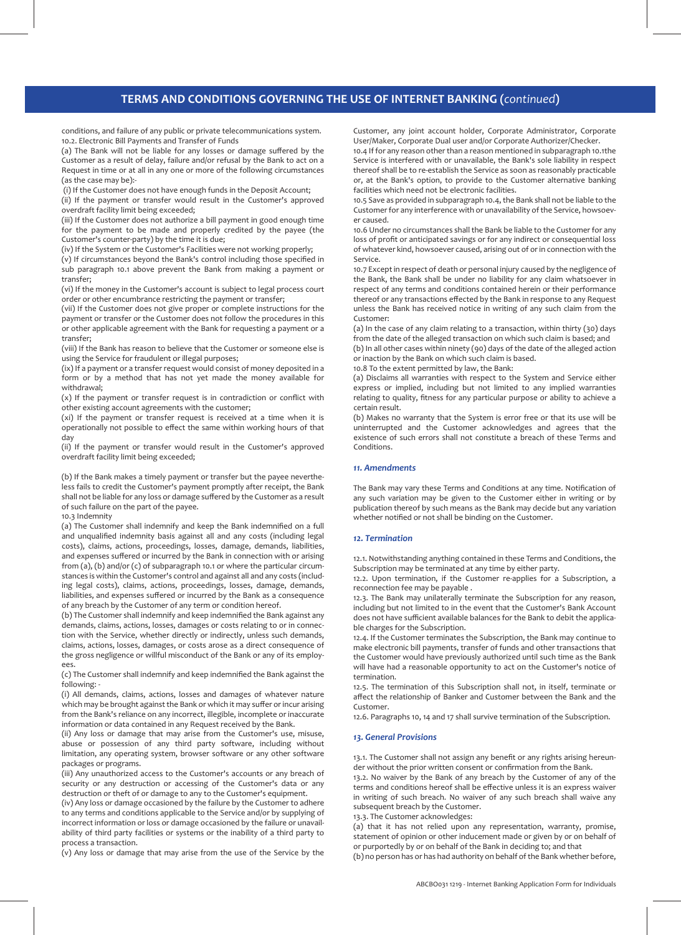# **TERMS AND CONDITIONS GOVERNING THE USE OF INTERNET BANKING (***continued***)**

conditions, and failure of any public or private telecommunications system. 10.2. Electronic Bill Payments and Transfer of Funds

(a) The Bank will not be liable for any losses or damage suffered by the Customer as a result of delay, failure and/or refusal by the Bank to act on a Request in time or at all in any one or more of the following circumstances (as the case may be):-

(i) If the Customer does not have enough funds in the Deposit Account;

(ii) If the payment or transfer would result in the Customer's approved overdraft facility limit being exceeded;

(iii) If the Customer does not authorize a bill payment in good enough time for the payment to be made and properly credited by the payee (the Customer's counter-party) by the time it is due;

(iv) If the System or the Customer's Facilities were not working properly;

(v) If circumstances beyond the Bank's control including those specified in sub paragraph 10.1 above prevent the Bank from making a payment or transfer;

(vi) If the money in the Customer's account is subject to legal process court order or other encumbrance restricting the payment or transfer;

(vii) If the Customer does not give proper or complete instructions for the payment or transfer or the Customer does not follow the procedures in this or other applicable agreement with the Bank for requesting a payment or a transfer;

(viii) If the Bank has reason to believe that the Customer or someone else is using the Service for fraudulent or illegal purposes;

(ix) If a payment or a transfer request would consist of money deposited in a form or by a method that has not yet made the money available for withdrawal;

(x) If the payment or transfer request is in contradiction or conflict with other existing account agreements with the customer;

(xi) If the payment or transfer request is received at a time when it is operationally not possible to effect the same within working hours of that day

(ii) If the payment or transfer would result in the Customer's approved overdraft facility limit being exceeded;

(b) If the Bank makes a timely payment or transfer but the payee nevertheless fails to credit the Customer's payment promptly after receipt, the Bank shall not be liable for any loss or damage suffered by the Customer as a result of such failure on the part of the payee.

#### 10.3 Indemnity

(a) The Customer shall indemnify and keep the Bank indemnified on a full and unqualified indemnity basis against all and any costs (including legal costs), claims, actions, proceedings, losses, damage, demands, liabilities, and expenses suffered or incurred by the Bank in connection with or arising from (a), (b) and/or (c) of subparagraph 10.1 or where the particular circumstances is within the Customer's control and against all and any costs (including legal costs), claims, actions, proceedings, losses, damage, demands, liabilities, and expenses suffered or incurred by the Bank as a consequence of any breach by the Customer of any term or condition hereof.

(b) The Customer shall indemnify and keep indemnified the Bank against any demands, claims, actions, losses, damages or costs relating to or in connection with the Service, whether directly or indirectly, unless such demands, claims, actions, losses, damages, or costs arose as a direct consequence of the gross negligence or willful misconduct of the Bank or any of its employees.

(c) The Customer shall indemnify and keep indemnified the Bank against the following: -

(i) All demands, claims, actions, losses and damages of whatever nature which may be brought against the Bank or which it may suffer or incur arising from the Bank's reliance on any incorrect, illegible, incomplete or inaccurate information or data contained in any Request received by the Bank.

(ii) Any loss or damage that may arise from the Customer's use, misuse, abuse or possession of any third party software, including without limitation, any operating system, browser software or any other software packages or programs.

(iii) Any unauthorized access to the Customer's accounts or any breach of security or any destruction or accessing of the Customer's data or any destruction or theft of or damage to any to the Customer's equipment.

(iv) Any loss or damage occasioned by the failure by the Customer to adhere to any terms and conditions applicable to the Service and/or by supplying of incorrect information or loss or damage occasioned by the failure or unavailability of third party facilities or systems or the inability of a third party to process a transaction.

(v) Any loss or damage that may arise from the use of the Service by the

Customer, any joint account holder, Corporate Administrator, Corporate User/Maker, Corporate Dual user and/or Corporate Authorizer/Checker.

10.4 If for any reason other than a reason mentioned in subparagraph 10.1the Service is interfered with or unavailable, the Bank's sole liability in respect thereof shall be to re-establish the Service as soon as reasonably practicable or, at the Bank's option, to provide to the Customer alternative banking facilities which need not be electronic facilities.

10.5 Save as provided in subparagraph 10.4, the Bank shall not be liable to the Customer for any interference with or unavailability of the Service, howsoever caused.

10.6 Under no circumstances shall the Bank be liable to the Customer for any loss of profit or anticipated savings or for any indirect or consequential loss of whatever kind, howsoever caused, arising out of or in connection with the Service.

10.7 Except in respect of death or personal injury caused by the negligence of the Bank, the Bank shall be under no liability for any claim whatsoever in respect of any terms and conditions contained herein or their performance thereof or any transactions effected by the Bank in response to any Request unless the Bank has received notice in writing of any such claim from the Customer:

(a) In the case of any claim relating to a transaction, within thirty (30) days from the date of the alleged transaction on which such claim is based; and

(b) In all other cases within ninety (90) days of the date of the alleged action or inaction by the Bank on which such claim is based.

10.8 To the extent permitted by law, the Bank:

(a) Disclaims all warranties with respect to the System and Service either express or implied, including but not limited to any implied warranties relating to quality, fitness for any particular purpose or ability to achieve a certain result.

(b) Makes no warranty that the System is error free or that its use will be uninterrupted and the Customer acknowledges and agrees that the existence of such errors shall not constitute a breach of these Terms and Conditions.

## *11. Amendments*

The Bank may vary these Terms and Conditions at any time. Notification of any such variation may be given to the Customer either in writing or by publication thereof by such means as the Bank may decide but any variation whether notified or not shall be binding on the Customer.

#### *12. Termination*

12.1. Notwithstanding anything contained in these Terms and Conditions, the Subscription may be terminated at any time by either party.

12.2. Upon termination, if the Customer re-applies for a Subscription, a reconnection fee may be payable .

12.3. The Bank may unilaterally terminate the Subscription for any reason, including but not limited to in the event that the Customer's Bank Account does not have sufficient available balances for the Bank to debit the applicable charges for the Subscription.

12.4. If the Customer terminates the Subscription, the Bank may continue to make electronic bill payments, transfer of funds and other transactions that the Customer would have previously authorized until such time as the Bank will have had a reasonable opportunity to act on the Customer's notice of termination.

12.5. The termination of this Subscription shall not, in itself, terminate or affect the relationship of Banker and Customer between the Bank and the Customer.

12.6. Paragraphs 10, 14 and 17 shall survive termination of the Subscription.

#### *13. General Provisions*

13.1. The Customer shall not assign any benefit or any rights arising hereunder without the prior written consent or confirmation from the Bank.

13.2. No waiver by the Bank of any breach by the Customer of any of the terms and conditions hereof shall be effective unless it is an express waiver in writing of such breach. No waiver of any such breach shall waive any subsequent breach by the Customer.

13.3. The Customer acknowledges:

(a) that it has not relied upon any representation, warranty, promise, statement of opinion or other inducement made or given by or on behalf of or purportedly by or on behalf of the Bank in deciding to; and that

(b) no person has or has had authority on behalf of the Bank whether before,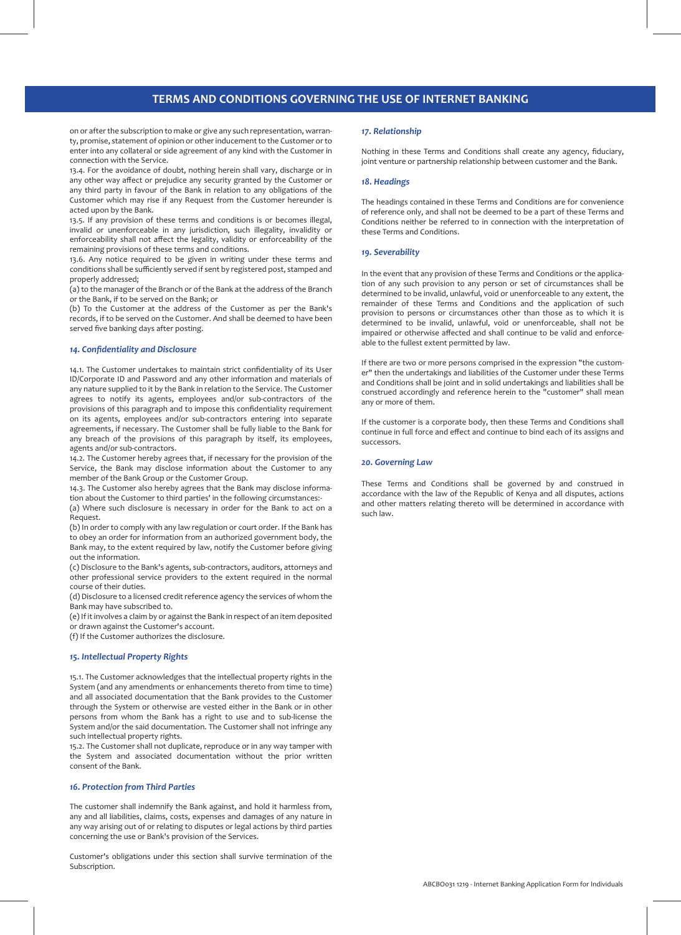# **TERMS AND CONDITIONS GOVERNING THE USE OF INTERNET BANKING**

on or after the subscription to make or give any such representation, warranty, promise, statement of opinion or other inducement to the Customer or to enter into any collateral or side agreement of any kind with the Customer in connection with the Service.

13.4. For the avoidance of doubt, nothing herein shall vary, discharge or in any other way affect or prejudice any security granted by the Customer or any third party in favour of the Bank in relation to any obligations of the Customer which may rise if any Request from the Customer hereunder is acted upon by the Bank.

13.5. If any provision of these terms and conditions is or becomes illegal, invalid or unenforceable in any jurisdiction, such illegality, invalidity or enforceability shall not affect the legality, validity or enforceability of the remaining provisions of these terms and conditions.

13.6. Any notice required to be given in writing under these terms and conditions shall be sufficiently served if sent by registered post, stamped and properly addressed;

(a) to the manager of the Branch or of the Bank at the address of the Branch or the Bank, if to be served on the Bank; or

(b) To the Customer at the address of the Customer as per the Bank's records, if to be served on the Customer. And shall be deemed to have been served five banking days after posting.

#### *14. Confidentiality and Disclosure*

14.1. The Customer undertakes to maintain strict confidentiality of its User ID/Corporate ID and Password and any other information and materials of any nature supplied to it by the Bank in relation to the Service. The Customer agrees to notify its agents, employees and/or sub-contractors of the provisions of this paragraph and to impose this confidentiality requirement on its agents, employees and/or sub-contractors entering into separate agreements, if necessary. The Customer shall be fully liable to the Bank for any breach of the provisions of this paragraph by itself, its employees, agents and/or sub-contractors.

14.2. The Customer hereby agrees that, if necessary for the provision of the Service, the Bank may disclose information about the Customer to any member of the Bank Group or the Customer Group.

14.3. The Customer also hereby agrees that the Bank may disclose information about the Customer to third parties' in the following circumstances:-

(a) Where such disclosure is necessary in order for the Bank to act on a Request.

(b) In order to comply with any law regulation or court order. If the Bank has to obey an order for information from an authorized government body, the Bank may, to the extent required by law, notify the Customer before giving out the information.

(c) Disclosure to the Bank's agents, sub-contractors, auditors, attorneys and other professional service providers to the extent required in the normal course of their duties.

(d) Disclosure to a licensed credit reference agency the services of whom the Bank may have subscribed to.

(e) If it involves a claim by or against the Bank in respect of an item deposited or drawn against the Customer's account.

(f) If the Customer authorizes the disclosure.

## *15. Intellectual Property Rights*

15.1. The Customer acknowledges that the intellectual property rights in the System (and any amendments or enhancements thereto from time to time) and all associated documentation that the Bank provides to the Customer through the System or otherwise are vested either in the Bank or in other persons from whom the Bank has a right to use and to sub-license the System and/or the said documentation. The Customer shall not infringe any such intellectual property rights.

15.2. The Customer shall not duplicate, reproduce or in any way tamper with the System and associated documentation without the prior written consent of the Bank.

#### *16. Protection from Third Parties*

The customer shall indemnify the Bank against, and hold it harmless from, any and all liabilities, claims, costs, expenses and damages of any nature in any way arising out of or relating to disputes or legal actions by third parties concerning the use or Bank's provision of the Services.

Customer's obligations under this section shall survive termination of the Subscription.

# *17. Relationship*

Nothing in these Terms and Conditions shall create any agency, fiduciary, joint venture or partnership relationship between customer and the Bank.

#### *18. Headings*

The headings contained in these Terms and Conditions are for convenience of reference only, and shall not be deemed to be a part of these Terms and Conditions neither be referred to in connection with the interpretation of these Terms and Conditions.

## *19. Severability*

In the event that any provision of these Terms and Conditions or the application of any such provision to any person or set of circumstances shall be determined to be invalid, unlawful, void or unenforceable to any extent, the remainder of these Terms and Conditions and the application of such provision to persons or circumstances other than those as to which it is determined to be invalid, unlawful, void or unenforceable, shall not be impaired or otherwise affected and shall continue to be valid and enforceable to the fullest extent permitted by law.

If there are two or more persons comprised in the expression "the customer" then the undertakings and liabilities of the Customer under these Terms and Conditions shall be joint and in solid undertakings and liabilities shall be construed accordingly and reference herein to the "customer" shall mean any or more of them.

If the customer is a corporate body, then these Terms and Conditions shall continue in full force and effect and continue to bind each of its assigns and successors.

#### *20. Governing Law*

These Terms and Conditions shall be governed by and construed in accordance with the law of the Republic of Kenya and all disputes, actions and other matters relating thereto will be determined in accordance with such law.